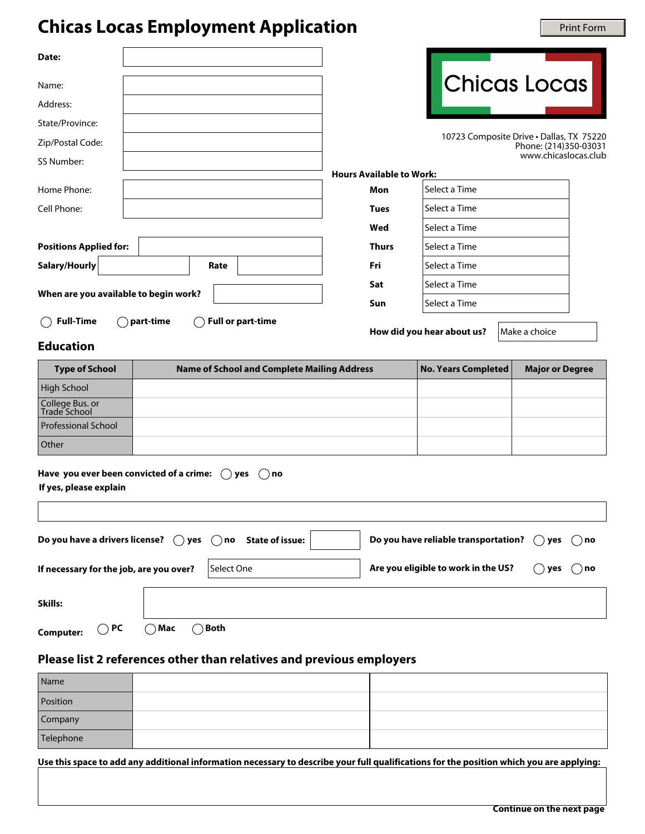## **Chicas Locas Employment Application**

| <b>Chicas Locas Employment Application</b>                                     |                      |                                                    |                      |                                        |                                          |                |                        | <b>Print Form</b> |
|--------------------------------------------------------------------------------|----------------------|----------------------------------------------------|----------------------|----------------------------------------|------------------------------------------|----------------|------------------------|-------------------|
| Date:                                                                          |                      |                                                    |                      |                                        |                                          |                |                        |                   |
| Name:                                                                          |                      |                                                    |                      |                                        | Chicas Locas                             |                |                        |                   |
| Address:                                                                       |                      |                                                    |                      |                                        |                                          |                |                        |                   |
| State/Province:                                                                |                      |                                                    |                      |                                        |                                          |                |                        |                   |
| Zip/Postal Code:                                                               |                      |                                                    |                      |                                        | 10723 Composite Drive . Dallas, TX 75220 |                | Phone: (214)350-03031  |                   |
| SS Number:                                                                     |                      |                                                    |                      |                                        |                                          |                | www.chicaslocas.club   |                   |
| Home Phone:                                                                    |                      |                                                    |                      | <b>Hours Available to Work:</b><br>Mon | Select a Time                            |                |                        |                   |
| Cell Phone:                                                                    |                      |                                                    |                      | <b>Tues</b>                            | Select a Time                            |                |                        |                   |
|                                                                                |                      |                                                    |                      | Wed                                    | Select a Time                            |                |                        |                   |
| <b>Positions Applied for:</b>                                                  |                      |                                                    | $\blacktriangledown$ | <b>Thurs</b>                           | Select a Time                            |                |                        |                   |
| Salary/Hourly                                                                  | $\blacktriangledown$ | Rate                                               |                      | Fri                                    | Select a Time                            |                |                        |                   |
|                                                                                |                      |                                                    |                      | Sat                                    | Select a Time                            |                |                        |                   |
| When are you available to begin work?                                          |                      |                                                    | Sun                  | Select a Time                          |                                          |                |                        |                   |
| <b>Full-Time</b>                                                               | part-time            | <b>Full or part-time</b>                           |                      |                                        |                                          |                |                        |                   |
| <b>Education</b>                                                               |                      |                                                    |                      |                                        | How did you hear about us?               |                | Make a choice          |                   |
| <b>Type of School</b>                                                          |                      | <b>Name of School and Complete Mailing Address</b> |                      |                                        | <b>No. Years Completed</b>               |                | <b>Major or Degree</b> |                   |
| <b>High School</b>                                                             |                      |                                                    |                      |                                        |                                          |                |                        |                   |
| College Bus. or<br>Trade School                                                |                      |                                                    |                      |                                        |                                          |                |                        |                   |
| <b>Professional School</b>                                                     |                      |                                                    |                      |                                        |                                          |                |                        |                   |
| Other                                                                          |                      |                                                    |                      |                                        |                                          |                |                        |                   |
| Have you ever been convicted of a crime: $($ $)$ yes<br>If yes, please explain |                      | $( )$ no                                           |                      |                                        |                                          |                |                        |                   |
| Do you have a drivers license?                                                 | $( )$ yes            | <b>State of issue:</b><br>$( )$ no                 |                      |                                        | Do you have reliable transportation?     |                | yes                    | no<br>$( \ )$     |
| If necessary for the job, are you over?<br>Select One                          |                      |                                                    |                      | Are you eligible to work in the US?    |                                          | $\bigcirc$ yes | $( )$ no               |                   |

## **Education**

| <b>Type of School</b>           | <b>Name of School and Complete Mailing Address</b> | No. Years Completed | <b>Major or Degree</b> |
|---------------------------------|----------------------------------------------------|---------------------|------------------------|
| High School                     |                                                    |                     |                        |
| College Bus. or<br>Trade School |                                                    |                     |                        |
| <b>Professional School</b>      |                                                    |                     |                        |
| Other                           |                                                    |                     |                        |

| Have you ever been convicted of a crime: $\;\bigcirc$ yes $\;\bigcirc$ no |  |  |
|---------------------------------------------------------------------------|--|--|
|---------------------------------------------------------------------------|--|--|

| Do you have a drivers license? $\bigcirc$ yes $\bigcirc$ no State of issue:<br>Do you have reliable transportation? $\bigcirc$ yes<br>$( )$ no |      |            |                                     |                 |          |
|------------------------------------------------------------------------------------------------------------------------------------------------|------|------------|-------------------------------------|-----------------|----------|
| If necessary for the job, are you over?                                                                                                        |      | Select One | Are you eligible to work in the US? | yes (<br>$\Box$ | $( )$ no |
| Skills:                                                                                                                                        |      |            |                                     |                 |          |
| ) PC<br><b>Computer:</b>                                                                                                                       | ेMac | ◯ Both     |                                     |                 |          |

## **Please list 2 references other than relatives and previous employers**

| Name      |  |
|-----------|--|
| Position  |  |
| Company   |  |
| Telephone |  |

**Use this space to add any additional information necessary to describe your full qualifications for the position which you are applying:**